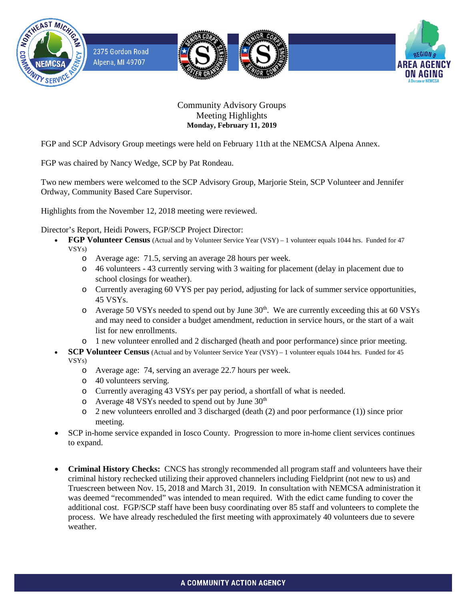

2375 Gordon Road Alpena, MI 49707







## Community Advisory Groups Meeting Highlights **Monday, February 11, 2019**

FGP and SCP Advisory Group meetings were held on February 11th at the NEMCSA Alpena Annex.

FGP was chaired by Nancy Wedge, SCP by Pat Rondeau.

Two new members were welcomed to the SCP Advisory Group, Marjorie Stein, SCP Volunteer and Jennifer Ordway, Community Based Care Supervisor.

Highlights from the November 12, 2018 meeting were reviewed.

Director's Report, Heidi Powers, FGP/SCP Project Director:

- **FGP Volunteer Census** (Actual and by Volunteer Service Year (VSY) 1 volunteer equals 1044 hrs. Funded for 47 VSYs)
	- o Average age: 71.5, serving an average 28 hours per week.
	- o 46 volunteers 43 currently serving with 3 waiting for placement (delay in placement due to school closings for weather).
	- o Currently averaging 60 VYS per pay period, adjusting for lack of summer service opportunities, 45 VSYs.
	- o Average 50 VSYs needed to spend out by June 30<sup>th</sup>. We are currently exceeding this at 60 VSYs and may need to consider a budget amendment, reduction in service hours, or the start of a wait list for new enrollments.
	- o 1 new volunteer enrolled and 2 discharged (heath and poor performance) since prior meeting.
- **SCP Volunteer Census** (Actual and by Volunteer Service Year (VSY) 1 volunteer equals 1044 hrs. Funded for 45 VSYs)
	- o Average age: 74, serving an average 22.7 hours per week.
	- o 40 volunteers serving.
	- o Currently averaging 43 VSYs per pay period, a shortfall of what is needed.
	- o Average 48 VSYs needed to spend out by June 30<sup>th</sup>
	- o 2 new volunteers enrolled and 3 discharged (death (2) and poor performance (1)) since prior meeting.
- SCP in-home service expanded in Iosco County. Progression to more in-home client services continues to expand.
- **Criminal History Checks:** CNCS has strongly recommended all program staff and volunteers have their criminal history rechecked utilizing their approved channelers including Fieldprint (not new to us) and Truescreen between Nov. 15, 2018 and March 31, 2019. In consultation with NEMCSA administration it was deemed "recommended" was intended to mean required. With the edict came funding to cover the additional cost. FGP/SCP staff have been busy coordinating over 85 staff and volunteers to complete the process. We have already rescheduled the first meeting with approximately 40 volunteers due to severe weather.